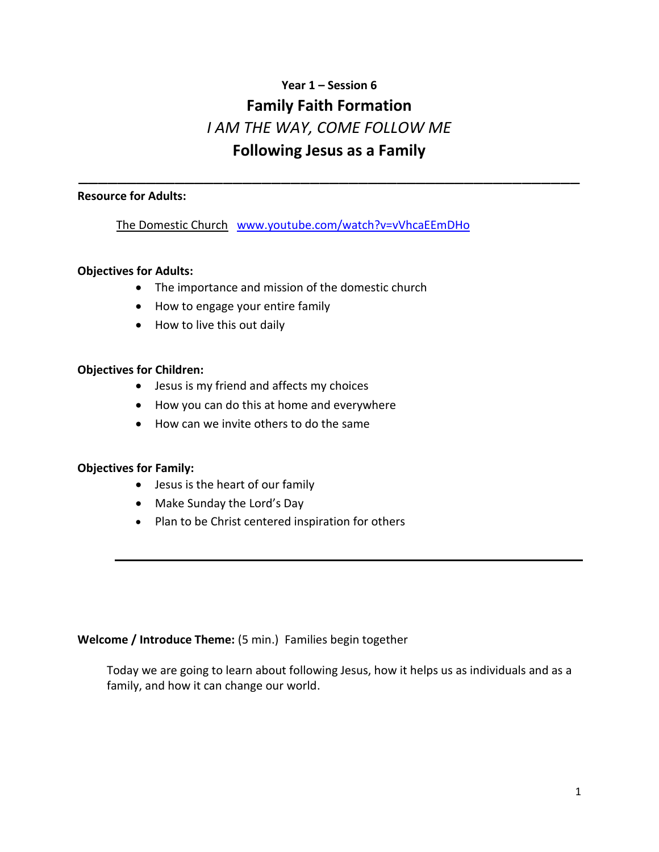# **Year 1 – Session 6 Family Faith Formation** *I AM THE WAY, COME FOLLOW ME* **Following Jesus as a Family**

\_\_\_\_\_\_\_\_\_\_\_\_\_\_\_\_\_\_\_\_\_\_\_\_\_\_\_\_\_\_\_\_\_\_\_\_\_\_\_\_\_\_\_\_\_\_\_\_\_\_\_\_

#### **Resource for Adults:**

The Domestic Church[www.youtube.com/watch?v=vVhcaEEmDHo](http://www.youtube.com/watch?v=vVhcaEEmDHo)

#### **Objectives for Adults:**

- The importance and mission of the domestic church
- How to engage your entire family
- How to live this out daily

#### **Objectives for Children:**

- Jesus is my friend and affects my choices
- How you can do this at home and everywhere
- How can we invite others to do the same

#### **Objectives for Family:**

- Jesus is the heart of our family
- Make Sunday the Lord's Day
- Plan to be Christ centered inspiration for others

#### **Welcome / Introduce Theme:** (5 min.) Families begin together

 Today we are going to learn about following Jesus, how it helps us as individuals and as a family, and how it can change our world.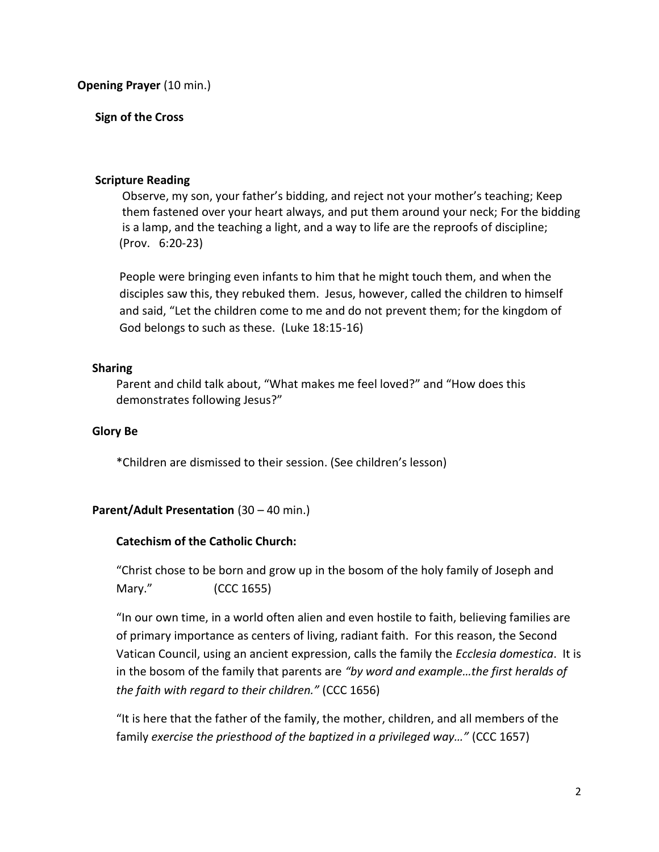**Opening Prayer** (10 min.)

# **Sign of the Cross**

## **Scripture Reading**

Observe, my son, your father's bidding, and reject not your mother's teaching; Keep them fastened over your heart always, and put them around your neck; For the bidding is a lamp, and the teaching a light, and a way to life are the reproofs of discipline; (Prov. 6:20-23)

People were bringing even infants to him that he might touch them, and when the disciples saw this, they rebuked them. Jesus, however, called the children to himself and said, "Let the children come to me and do not prevent them; for the kingdom of God belongs to such as these. (Luke 18:15-16)

## **Sharing**

Parent and child talk about, "What makes me feel loved?" and "How does this demonstrates following Jesus?"

# **Glory Be**

\*Children are dismissed to their session. (See children's lesson)

# **Parent/Adult Presentation** (30 – 40 min.)

# **Catechism of the Catholic Church:**

"Christ chose to be born and grow up in the bosom of the holy family of Joseph and Mary." (CCC 1655)

"In our own time, in a world often alien and even hostile to faith, believing families are of primary importance as centers of living, radiant faith. For this reason, the Second Vatican Council, using an ancient expression, calls the family the *Ecclesia domestica*. It is in the bosom of the family that parents are *"by word and example…the first heralds of the faith with regard to their children."* (CCC 1656)

"It is here that the father of the family, the mother, children, and all members of the family *exercise the priesthood of the baptized in a privileged way…"* (CCC 1657)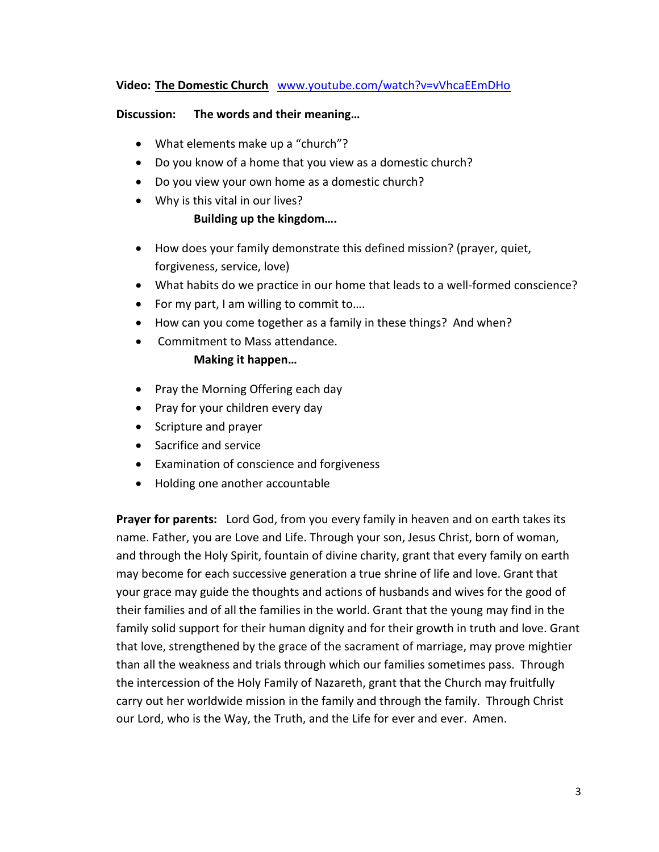## **Video: The Domestic Church** [www.youtube.com/watch?v=vVhcaEEmDHo](http://www.youtube.com/watch?v=vVhcaEEmDHo)

#### **Discussion: The words and their meaning…**

- What elements make up a "church"?
- Do you know of a home that you view as a domestic church?
- Do you view your own home as a domestic church?
- Why is this vital in our lives?

## **Building up the kingdom….**

- How does your family demonstrate this defined mission? (prayer, quiet, forgiveness, service, love)
- What habits do we practice in our home that leads to a well-formed conscience?
- For my part, I am willing to commit to....
- How can you come together as a family in these things? And when?
- Commitment to Mass attendance.

#### **Making it happen…**

- Pray the Morning Offering each day
- Pray for your children every day
- Scripture and prayer
- Sacrifice and service
- Examination of conscience and forgiveness
- Holding one another accountable

**Prayer for parents:** Lord God, from you every family in heaven and on earth takes its name. Father, you are Love and Life. Through your son, Jesus Christ, born of woman, and through the Holy Spirit, fountain of divine charity, grant that every family on earth may become for each successive generation a true shrine of life and love. Grant that your grace may guide the thoughts and actions of husbands and wives for the good of their families and of all the families in the world. Grant that the young may find in the family solid support for their human dignity and for their growth in truth and love. Grant that love, strengthened by the grace of the sacrament of marriage, may prove mightier than all the weakness and trials through which our families sometimes pass. Through the intercession of the Holy Family of Nazareth, grant that the Church may fruitfully carry out her worldwide mission in the family and through the family. Through Christ our Lord, who is the Way, the Truth, and the Life for ever and ever. Amen.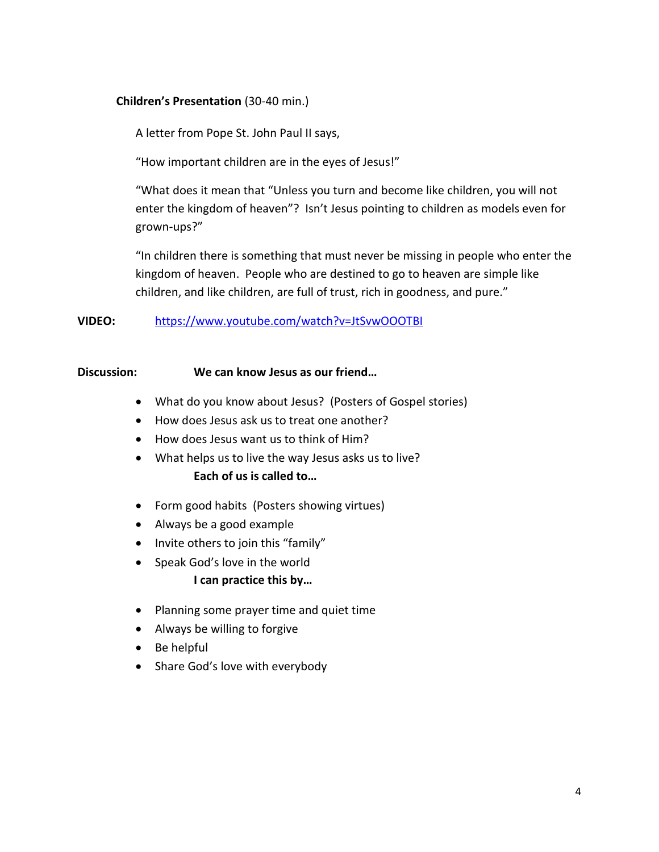## **Children's Presentation** (30-40 min.)

A letter from Pope St. John Paul II says,

"How important children are in the eyes of Jesus!"

"What does it mean that "Unless you turn and become like children, you will not enter the kingdom of heaven"? Isn't Jesus pointing to children as models even for grown-ups?"

"In children there is something that must never be missing in people who enter the kingdom of heaven. People who are destined to go to heaven are simple like children, and like children, are full of trust, rich in goodness, and pure."

## **VIDEO:** <https://www.youtube.com/watch?v=JtSvwOOOTBI>

#### **Discussion: We can know Jesus as our friend…**

- What do you know about Jesus? (Posters of Gospel stories)
- How does Jesus ask us to treat one another?
- How does Jesus want us to think of Him?
- What helps us to live the way Jesus asks us to live? **Each of us is called to…**
- Form good habits (Posters showing virtues)
- Always be a good example
- Invite others to join this "family"
- Speak God's love in the world

#### **I can practice this by…**

- Planning some prayer time and quiet time
- Always be willing to forgive
- Be helpful
- Share God's love with everybody